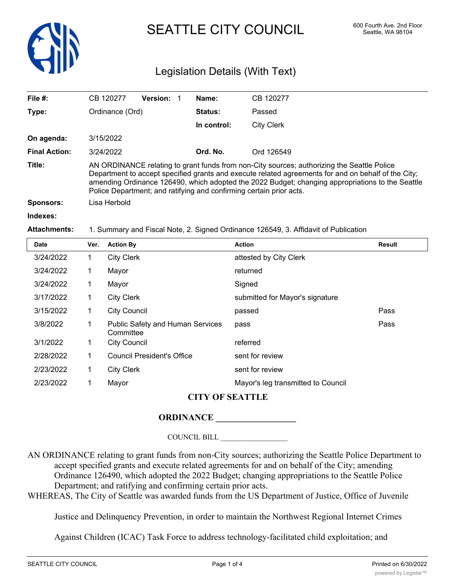

# SEATTLE CITY COUNCIL 600 Fourth Ave. 2nd Floor

# Legislation Details (With Text)

| File $#$ :           | CB 120277                                                                                                                                                                                                                                                                                                                                                                    | <b>Version:</b> | Name:          | CB 120277  |
|----------------------|------------------------------------------------------------------------------------------------------------------------------------------------------------------------------------------------------------------------------------------------------------------------------------------------------------------------------------------------------------------------------|-----------------|----------------|------------|
| Type:                | Ordinance (Ord)                                                                                                                                                                                                                                                                                                                                                              |                 | <b>Status:</b> | Passed     |
|                      |                                                                                                                                                                                                                                                                                                                                                                              |                 | In control:    | City Clerk |
| On agenda:           | 3/15/2022                                                                                                                                                                                                                                                                                                                                                                    |                 |                |            |
| <b>Final Action:</b> | 3/24/2022                                                                                                                                                                                                                                                                                                                                                                    |                 | Ord. No.       | Ord 126549 |
| Title:               | AN ORDINANCE relating to grant funds from non-City sources; authorizing the Seattle Police<br>Department to accept specified grants and execute related agreements for and on behalf of the City;<br>amending Ordinance 126490, which adopted the 2022 Budget; changing appropriations to the Seattle<br>Police Department; and ratifying and confirming certain prior acts. |                 |                |            |
| Sponsors:            | Lisa Herbold                                                                                                                                                                                                                                                                                                                                                                 |                 |                |            |
| Indexes:             |                                                                                                                                                                                                                                                                                                                                                                              |                 |                |            |
| <b>Attachments:</b>  | 1. Summary and Fiscal Note, 2. Signed Ordinance 126549, 3. Affidavit of Publication                                                                                                                                                                                                                                                                                          |                 |                |            |

# **Date Ver. Action By Action Result** 3/24/2022 1 City Clerk attested by City Clerk 3/24/2022 1 Mayor returned 3/24/2022 1 Mayor Signed 3/17/2022 1 City Clerk submitted for Mayor's signature 3/15/2022 1 City Council passed Pass 3/8/2022 1 Public Safety and Human Services pass and the control of the Pass **Committee** 3/1/2022 1 City Council referred 2/28/2022 1 Council President's Office sent for review 2/23/2022 1 City Clerk sent for review 2/23/2022 1 Mayor Mayor's leg transmitted to Council **CITY OF SEATTLE**

## **ORDINANCE \_\_\_\_\_\_\_\_\_\_\_\_\_\_\_\_\_\_**

#### COUNCIL BILL \_\_\_\_\_\_\_\_\_\_\_\_\_\_\_\_\_\_

AN ORDINANCE relating to grant funds from non-City sources; authorizing the Seattle Police Department to accept specified grants and execute related agreements for and on behalf of the City; amending Ordinance 126490, which adopted the 2022 Budget; changing appropriations to the Seattle Police Department; and ratifying and confirming certain prior acts.

WHEREAS, The City of Seattle was awarded funds from the US Department of Justice, Office of Juvenile

Justice and Delinquency Prevention, in order to maintain the Northwest Regional Internet Crimes

Against Children (ICAC) Task Force to address technology-facilitated child exploitation; and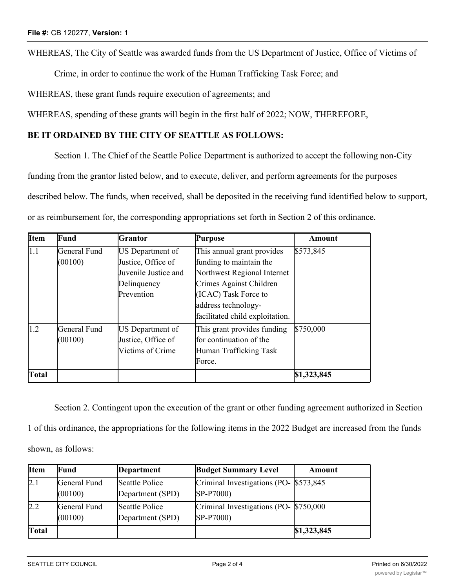WHEREAS, The City of Seattle was awarded funds from the US Department of Justice, Office of Victims of

Crime, in order to continue the work of the Human Trafficking Task Force; and

WHEREAS, these grant funds require execution of agreements; and

WHEREAS, spending of these grants will begin in the first half of 2022; NOW, THEREFORE,

#### **BE IT ORDAINED BY THE CITY OF SEATTLE AS FOLLOWS:**

Section 1. The Chief of the Seattle Police Department is authorized to accept the following non-City funding from the grantor listed below, and to execute, deliver, and perform agreements for the purposes described below. The funds, when received, shall be deposited in the receiving fund identified below to support, or as reimbursement for, the corresponding appropriations set forth in Section 2 of this ordinance.

| <b>Item</b>   | Fund                    | <b>Grantor</b>                                                                              | <b>Purpose</b>                                                                                                                                                                                    | <b>Amount</b> |
|---------------|-------------------------|---------------------------------------------------------------------------------------------|---------------------------------------------------------------------------------------------------------------------------------------------------------------------------------------------------|---------------|
| $ 1.1\rangle$ | General Fund<br>(00100) | US Department of<br>Justice, Office of<br>Juvenile Justice and<br>Delinquency<br>Prevention | This annual grant provides<br>funding to maintain the<br>Northwest Regional Internet<br>Crimes Against Children<br>(ICAC) Task Force to<br>address technology-<br>facilitated child exploitation. | \$573,845     |
| 1.2           | General Fund<br>(00100) | US Department of<br>Justice, Office of<br>Victims of Crime                                  | This grant provides funding<br>for continuation of the<br>Human Trafficking Task<br>Force.                                                                                                        | \$750,000     |
| <b>Total</b>  |                         |                                                                                             |                                                                                                                                                                                                   | \$1,323,845   |

Section 2. Contingent upon the execution of the grant or other funding agreement authorized in Section 1 of this ordinance, the appropriations for the following items in the 2022 Budget are increased from the funds shown, as follows:

| <b>Item</b>  | Fund                    | Department                         | <b>Budget Summary Level</b>                          | Amount      |
|--------------|-------------------------|------------------------------------|------------------------------------------------------|-------------|
| 2.1          | General Fund<br>(00100) | Seattle Police<br>Department (SPD) | Criminal Investigations (PO- \$573,845)<br>SP-P7000) |             |
| 2.2          | General Fund<br>(00100) | Seattle Police<br>Department (SPD) | Criminal Investigations (PO- \$750,000<br>SP-P7000)  |             |
| <b>Total</b> |                         |                                    |                                                      | \$1,323,845 |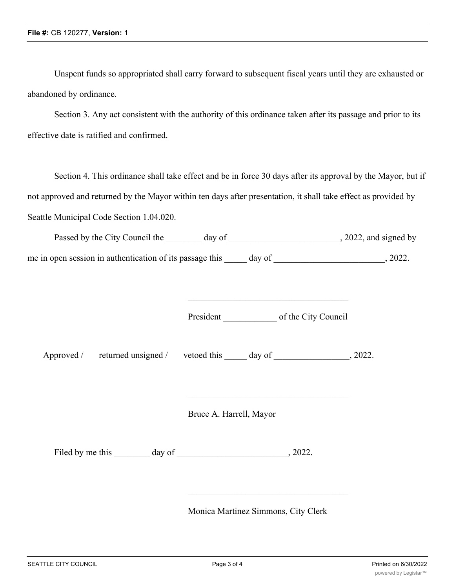Unspent funds so appropriated shall carry forward to subsequent fiscal years until they are exhausted or abandoned by ordinance.

Section 3. Any act consistent with the authority of this ordinance taken after its passage and prior to its effective date is ratified and confirmed.

Section 4. This ordinance shall take effect and be in force 30 days after its approval by the Mayor, but if not approved and returned by the Mayor within ten days after presentation, it shall take effect as provided by Seattle Municipal Code Section 1.04.020.

| Passed by the City Council the                           | day of | , 2022, and signed by |
|----------------------------------------------------------|--------|-----------------------|
| me in open session in authentication of its passage this | day of | 2022.                 |

| President | of the City Council |  |
|-----------|---------------------|--|
|           |                     |  |

\_\_\_\_\_\_\_\_\_\_\_\_\_\_\_\_\_\_\_\_\_\_\_\_\_\_\_\_\_\_\_\_\_\_\_\_

Approved / returned unsigned / vetoed this day of , 2022.

Bruce A. Harrell, Mayor

Filed by me this \_\_\_\_\_\_\_\_ day of \_\_\_\_\_\_\_\_\_\_\_\_\_\_\_\_\_\_\_\_\_\_\_\_\_, 2022.

Monica Martinez Simmons, City Clerk